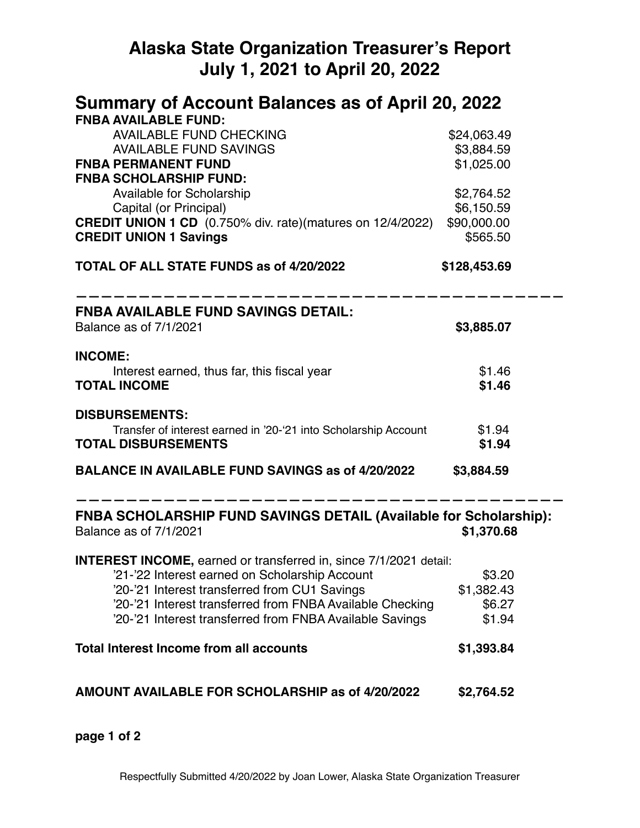# **Alaska State Organization Treasurer's Report July 1, 2021 to April 20, 2022**

| Summary of Account Balances as of April 20, 2022                                                                      |                           |  |  |
|-----------------------------------------------------------------------------------------------------------------------|---------------------------|--|--|
| <b>FNBA AVAILABLE FUND:</b>                                                                                           |                           |  |  |
| <b>AVAILABLE FUND CHECKING</b><br><b>AVAILABLE FUND SAVINGS</b>                                                       | \$24,063.49<br>\$3,884.59 |  |  |
| <b>FNBA PERMANENT FUND</b>                                                                                            | \$1,025.00                |  |  |
| <b>FNBA SCHOLARSHIP FUND:</b>                                                                                         |                           |  |  |
| Available for Scholarship                                                                                             | \$2,764.52                |  |  |
| Capital (or Principal)                                                                                                | \$6,150.59                |  |  |
| <b>CREDIT UNION 1 CD</b> (0.750% div. rate)(matures on 12/4/2022)                                                     | \$90,000.00               |  |  |
| <b>CREDIT UNION 1 Savings</b>                                                                                         | \$565.50                  |  |  |
| TOTAL OF ALL STATE FUNDS as of 4/20/2022                                                                              | \$128,453.69              |  |  |
| <b>FNBA AVAILABLE FUND SAVINGS DETAIL:</b>                                                                            |                           |  |  |
| Balance as of 7/1/2021                                                                                                | \$3,885.07                |  |  |
| <b>INCOME:</b>                                                                                                        |                           |  |  |
| Interest earned, thus far, this fiscal year                                                                           | \$1.46                    |  |  |
| <b>TOTAL INCOME</b>                                                                                                   | \$1.46                    |  |  |
| <b>DISBURSEMENTS:</b>                                                                                                 |                           |  |  |
| Transfer of interest earned in '20-'21 into Scholarship Account                                                       | \$1.94                    |  |  |
| <b>TOTAL DISBURSEMENTS</b>                                                                                            | \$1.94                    |  |  |
| <b>BALANCE IN AVAILABLE FUND SAVINGS as of 4/20/2022</b>                                                              | \$3,884.59                |  |  |
| <b>FNBA SCHOLARSHIP FUND SAVINGS DETAIL (Available for Scholarship):</b><br>Balance as of 7/1/2021                    | \$1,370.68                |  |  |
| <b>INTEREST INCOME, earned or transferred in, since 7/1/2021 detail:</b>                                              |                           |  |  |
| '21-'22 Interest earned on Scholarship Account                                                                        | \$3.20                    |  |  |
| '20-'21 Interest transferred from CU1 Savings                                                                         | \$1,382.43                |  |  |
| '20-'21 Interest transferred from FNBA Available Checking<br>'20-'21 Interest transferred from FNBA Available Savings | \$6.27<br>\$1.94          |  |  |
|                                                                                                                       |                           |  |  |
| <b>Total Interest Income from all accounts</b>                                                                        | \$1,393.84                |  |  |
| <b>AMOUNT AVAILABLE FOR SCHOLARSHIP as of 4/20/2022</b>                                                               | \$2,764.52                |  |  |

**page 1 of 2**